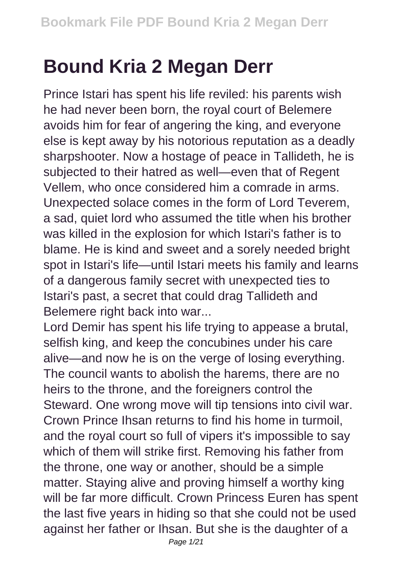## **Bound Kria 2 Megan Derr**

Prince Istari has spent his life reviled: his parents wish he had never been born, the royal court of Belemere avoids him for fear of angering the king, and everyone else is kept away by his notorious reputation as a deadly sharpshooter. Now a hostage of peace in Tallideth, he is subjected to their hatred as well—even that of Regent Vellem, who once considered him a comrade in arms. Unexpected solace comes in the form of Lord Teverem, a sad, quiet lord who assumed the title when his brother was killed in the explosion for which Istari's father is to blame. He is kind and sweet and a sorely needed bright spot in Istari's life—until Istari meets his family and learns of a dangerous family secret with unexpected ties to Istari's past, a secret that could drag Tallideth and Belemere right back into war...

Lord Demir has spent his life trying to appease a brutal, selfish king, and keep the concubines under his care alive—and now he is on the verge of losing everything. The council wants to abolish the harems, there are no heirs to the throne, and the foreigners control the Steward. One wrong move will tip tensions into civil war. Crown Prince Ihsan returns to find his home in turmoil, and the royal court so full of vipers it's impossible to say which of them will strike first. Removing his father from the throne, one way or another, should be a simple matter. Staying alive and proving himself a worthy king will be far more difficult. Crown Princess Euren has spent the last five years in hiding so that she could not be used against her father or Ihsan. But she is the daughter of a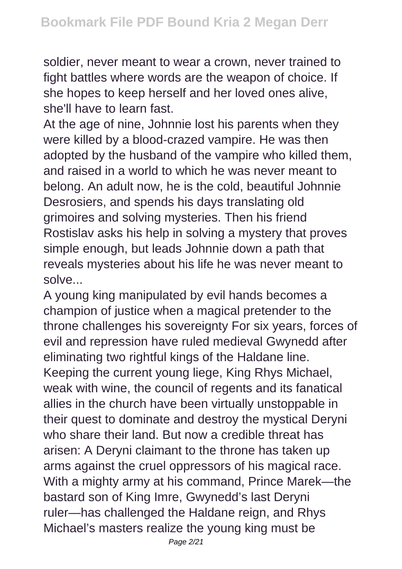soldier, never meant to wear a crown, never trained to fight battles where words are the weapon of choice. If she hopes to keep herself and her loved ones alive, she'll have to learn fast.

At the age of nine, Johnnie lost his parents when they were killed by a blood-crazed vampire. He was then adopted by the husband of the vampire who killed them, and raised in a world to which he was never meant to belong. An adult now, he is the cold, beautiful Johnnie Desrosiers, and spends his days translating old grimoires and solving mysteries. Then his friend Rostislav asks his help in solving a mystery that proves simple enough, but leads Johnnie down a path that reveals mysteries about his life he was never meant to solve...

A young king manipulated by evil hands becomes a champion of justice when a magical pretender to the throne challenges his sovereignty For six years, forces of evil and repression have ruled medieval Gwynedd after eliminating two rightful kings of the Haldane line. Keeping the current young liege, King Rhys Michael, weak with wine, the council of regents and its fanatical allies in the church have been virtually unstoppable in their quest to dominate and destroy the mystical Deryni who share their land. But now a credible threat has arisen: A Deryni claimant to the throne has taken up arms against the cruel oppressors of his magical race. With a mighty army at his command, Prince Marek—the bastard son of King Imre, Gwynedd's last Deryni ruler—has challenged the Haldane reign, and Rhys Michael's masters realize the young king must be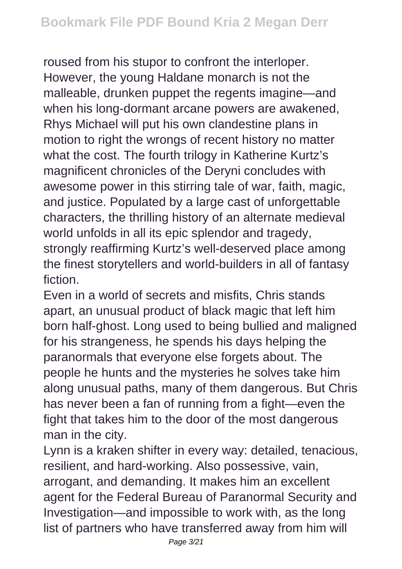roused from his stupor to confront the interloper. However, the young Haldane monarch is not the malleable, drunken puppet the regents imagine—and when his long-dormant arcane powers are awakened, Rhys Michael will put his own clandestine plans in motion to right the wrongs of recent history no matter what the cost. The fourth trilogy in Katherine Kurtz's magnificent chronicles of the Deryni concludes with awesome power in this stirring tale of war, faith, magic, and justice. Populated by a large cast of unforgettable characters, the thrilling history of an alternate medieval world unfolds in all its epic splendor and tragedy, strongly reaffirming Kurtz's well-deserved place among the finest storytellers and world-builders in all of fantasy fiction.

Even in a world of secrets and misfits, Chris stands apart, an unusual product of black magic that left him born half-ghost. Long used to being bullied and maligned for his strangeness, he spends his days helping the paranormals that everyone else forgets about. The people he hunts and the mysteries he solves take him along unusual paths, many of them dangerous. But Chris has never been a fan of running from a fight—even the fight that takes him to the door of the most dangerous man in the city.

Lynn is a kraken shifter in every way: detailed, tenacious, resilient, and hard-working. Also possessive, vain, arrogant, and demanding. It makes him an excellent agent for the Federal Bureau of Paranormal Security and Investigation—and impossible to work with, as the long list of partners who have transferred away from him will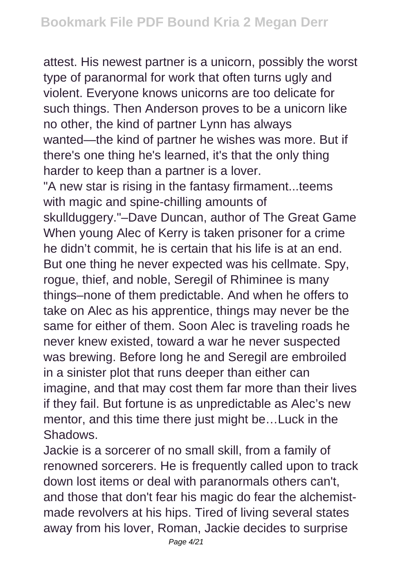attest. His newest partner is a unicorn, possibly the worst type of paranormal for work that often turns ugly and violent. Everyone knows unicorns are too delicate for such things. Then Anderson proves to be a unicorn like no other, the kind of partner Lynn has always wanted—the kind of partner he wishes was more. But if there's one thing he's learned, it's that the only thing harder to keep than a partner is a lover. "A new star is rising in the fantasy firmament...teems with magic and spine-chilling amounts of skullduggery."–Dave Duncan, author of The Great Game When young Alec of Kerry is taken prisoner for a crime he didn't commit, he is certain that his life is at an end. But one thing he never expected was his cellmate. Spy, rogue, thief, and noble, Seregil of Rhiminee is many things–none of them predictable. And when he offers to take on Alec as his apprentice, things may never be the same for either of them. Soon Alec is traveling roads he never knew existed, toward a war he never suspected was brewing. Before long he and Seregil are embroiled in a sinister plot that runs deeper than either can imagine, and that may cost them far more than their lives if they fail. But fortune is as unpredictable as Alec's new mentor, and this time there just might be…Luck in the Shadows.

Jackie is a sorcerer of no small skill, from a family of renowned sorcerers. He is frequently called upon to track down lost items or deal with paranormals others can't, and those that don't fear his magic do fear the alchemistmade revolvers at his hips. Tired of living several states away from his lover, Roman, Jackie decides to surprise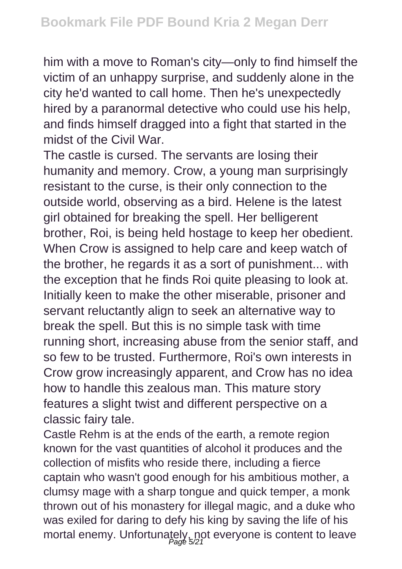him with a move to Roman's city—only to find himself the victim of an unhappy surprise, and suddenly alone in the city he'd wanted to call home. Then he's unexpectedly hired by a paranormal detective who could use his help, and finds himself dragged into a fight that started in the midst of the Civil War.

The castle is cursed. The servants are losing their humanity and memory. Crow, a young man surprisingly resistant to the curse, is their only connection to the outside world, observing as a bird. Helene is the latest girl obtained for breaking the spell. Her belligerent brother, Roi, is being held hostage to keep her obedient. When Crow is assigned to help care and keep watch of the brother, he regards it as a sort of punishment... with the exception that he finds Roi quite pleasing to look at. Initially keen to make the other miserable, prisoner and servant reluctantly align to seek an alternative way to break the spell. But this is no simple task with time running short, increasing abuse from the senior staff, and so few to be trusted. Furthermore, Roi's own interests in Crow grow increasingly apparent, and Crow has no idea how to handle this zealous man. This mature story features a slight twist and different perspective on a classic fairy tale.

Castle Rehm is at the ends of the earth, a remote region known for the vast quantities of alcohol it produces and the collection of misfits who reside there, including a fierce captain who wasn't good enough for his ambitious mother, a clumsy mage with a sharp tongue and quick temper, a monk thrown out of his monastery for illegal magic, and a duke who was exiled for daring to defy his king by saving the life of his mortal enemy. Unfortunately, not everyone is content to leave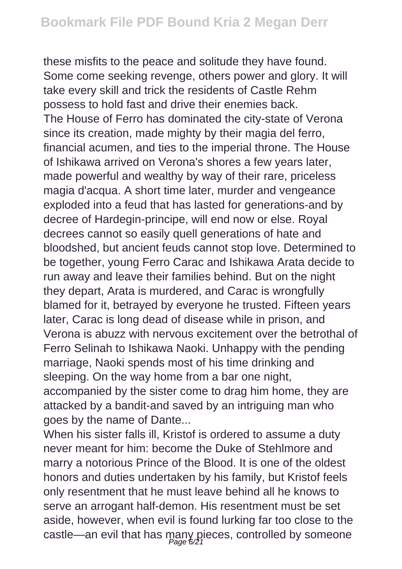these misfits to the peace and solitude they have found. Some come seeking revenge, others power and glory. It will take every skill and trick the residents of Castle Rehm possess to hold fast and drive their enemies back. The House of Ferro has dominated the city-state of Verona since its creation, made mighty by their magia del ferro, financial acumen, and ties to the imperial throne. The House of Ishikawa arrived on Verona's shores a few years later, made powerful and wealthy by way of their rare, priceless magia d'acqua. A short time later, murder and vengeance exploded into a feud that has lasted for generations-and by decree of Hardegin-principe, will end now or else. Royal decrees cannot so easily quell generations of hate and bloodshed, but ancient feuds cannot stop love. Determined to be together, young Ferro Carac and Ishikawa Arata decide to run away and leave their families behind. But on the night they depart, Arata is murdered, and Carac is wrongfully blamed for it, betrayed by everyone he trusted. Fifteen years later, Carac is long dead of disease while in prison, and Verona is abuzz with nervous excitement over the betrothal of Ferro Selinah to Ishikawa Naoki. Unhappy with the pending marriage, Naoki spends most of his time drinking and sleeping. On the way home from a bar one night, accompanied by the sister come to drag him home, they are attacked by a bandit-and saved by an intriguing man who goes by the name of Dante...

When his sister falls ill, Kristof is ordered to assume a duty never meant for him: become the Duke of Stehlmore and marry a notorious Prince of the Blood. It is one of the oldest honors and duties undertaken by his family, but Kristof feels only resentment that he must leave behind all he knows to serve an arrogant half-demon. His resentment must be set aside, however, when evil is found lurking far too close to the castle—an evil that has many pieces, controlled by someone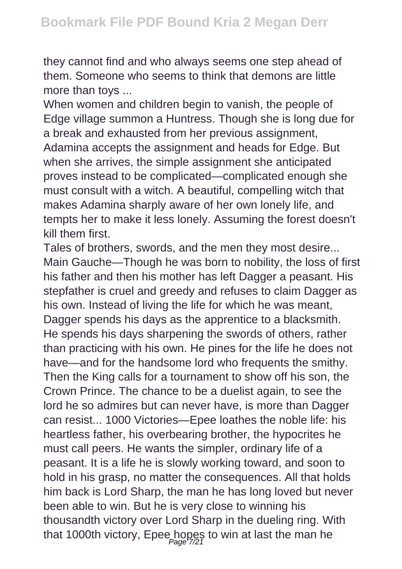they cannot find and who always seems one step ahead of them. Someone who seems to think that demons are little more than toys ...

When women and children begin to vanish, the people of Edge village summon a Huntress. Though she is long due for a break and exhausted from her previous assignment, Adamina accepts the assignment and heads for Edge. But when she arrives, the simple assignment she anticipated proves instead to be complicated—complicated enough she must consult with a witch. A beautiful, compelling witch that makes Adamina sharply aware of her own lonely life, and tempts her to make it less lonely. Assuming the forest doesn't kill them first.

Tales of brothers, swords, and the men they most desire... Main Gauche—Though he was born to nobility, the loss of first his father and then his mother has left Dagger a peasant. His stepfather is cruel and greedy and refuses to claim Dagger as his own. Instead of living the life for which he was meant, Dagger spends his days as the apprentice to a blacksmith. He spends his days sharpening the swords of others, rather than practicing with his own. He pines for the life he does not have—and for the handsome lord who frequents the smithy. Then the King calls for a tournament to show off his son, the Crown Prince. The chance to be a duelist again, to see the lord he so admires but can never have, is more than Dagger can resist... 1000 Victories—Epee loathes the noble life: his heartless father, his overbearing brother, the hypocrites he must call peers. He wants the simpler, ordinary life of a peasant. It is a life he is slowly working toward, and soon to hold in his grasp, no matter the consequences. All that holds him back is Lord Sharp, the man he has long loved but never been able to win. But he is very close to winning his thousandth victory over Lord Sharp in the dueling ring. With that 1000th victory, Epee hopes to win at last the man he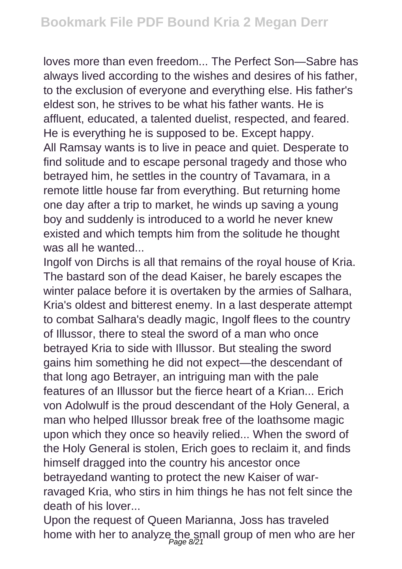loves more than even freedom... The Perfect Son—Sabre has always lived according to the wishes and desires of his father, to the exclusion of everyone and everything else. His father's eldest son, he strives to be what his father wants. He is affluent, educated, a talented duelist, respected, and feared. He is everything he is supposed to be. Except happy. All Ramsay wants is to live in peace and quiet. Desperate to find solitude and to escape personal tragedy and those who betrayed him, he settles in the country of Tavamara, in a remote little house far from everything. But returning home one day after a trip to market, he winds up saving a young boy and suddenly is introduced to a world he never knew existed and which tempts him from the solitude he thought was all he wanted.

Ingolf von Dirchs is all that remains of the royal house of Kria. The bastard son of the dead Kaiser, he barely escapes the winter palace before it is overtaken by the armies of Salhara, Kria's oldest and bitterest enemy. In a last desperate attempt to combat Salhara's deadly magic, Ingolf flees to the country of Illussor, there to steal the sword of a man who once betrayed Kria to side with Illussor. But stealing the sword gains him something he did not expect—the descendant of that long ago Betrayer, an intriguing man with the pale features of an Illussor but the fierce heart of a Krian... Erich von Adolwulf is the proud descendant of the Holy General, a man who helped Illussor break free of the loathsome magic upon which they once so heavily relied... When the sword of the Holy General is stolen, Erich goes to reclaim it, and finds himself dragged into the country his ancestor once betrayedand wanting to protect the new Kaiser of warravaged Kria, who stirs in him things he has not felt since the death of his lover...

Upon the request of Queen Marianna, Joss has traveled home with her to analyze the small group of men who are her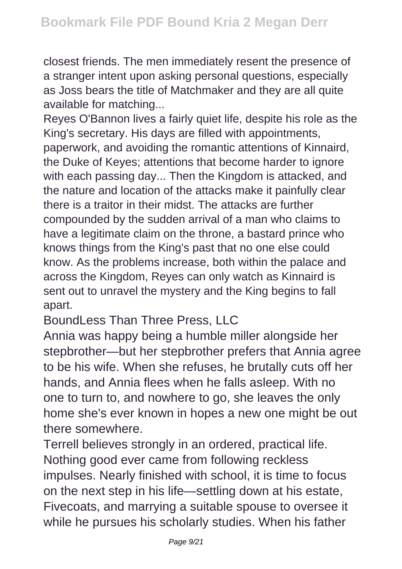closest friends. The men immediately resent the presence of a stranger intent upon asking personal questions, especially as Joss bears the title of Matchmaker and they are all quite available for matching...

Reyes O'Bannon lives a fairly quiet life, despite his role as the King's secretary. His days are filled with appointments, paperwork, and avoiding the romantic attentions of Kinnaird, the Duke of Keyes; attentions that become harder to ignore with each passing day... Then the Kingdom is attacked, and the nature and location of the attacks make it painfully clear there is a traitor in their midst. The attacks are further compounded by the sudden arrival of a man who claims to have a legitimate claim on the throne, a bastard prince who knows things from the King's past that no one else could know. As the problems increase, both within the palace and across the Kingdom, Reyes can only watch as Kinnaird is sent out to unravel the mystery and the King begins to fall apart.

BoundLess Than Three Press, LLC

Annia was happy being a humble miller alongside her stepbrother—but her stepbrother prefers that Annia agree to be his wife. When she refuses, he brutally cuts off her hands, and Annia flees when he falls asleep. With no one to turn to, and nowhere to go, she leaves the only home she's ever known in hopes a new one might be out there somewhere.

Terrell believes strongly in an ordered, practical life. Nothing good ever came from following reckless impulses. Nearly finished with school, it is time to focus on the next step in his life—settling down at his estate, Fivecoats, and marrying a suitable spouse to oversee it while he pursues his scholarly studies. When his father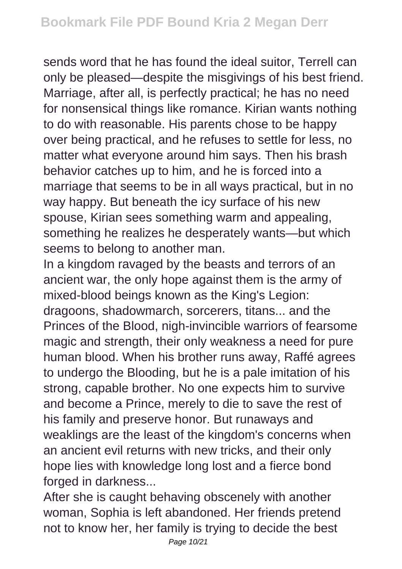sends word that he has found the ideal suitor, Terrell can only be pleased—despite the misgivings of his best friend. Marriage, after all, is perfectly practical; he has no need for nonsensical things like romance. Kirian wants nothing to do with reasonable. His parents chose to be happy over being practical, and he refuses to settle for less, no matter what everyone around him says. Then his brash behavior catches up to him, and he is forced into a marriage that seems to be in all ways practical, but in no way happy. But beneath the icy surface of his new spouse, Kirian sees something warm and appealing, something he realizes he desperately wants—but which seems to belong to another man.

In a kingdom ravaged by the beasts and terrors of an ancient war, the only hope against them is the army of mixed-blood beings known as the King's Legion: dragoons, shadowmarch, sorcerers, titans... and the Princes of the Blood, nigh-invincible warriors of fearsome magic and strength, their only weakness a need for pure human blood. When his brother runs away, Raffé agrees to undergo the Blooding, but he is a pale imitation of his strong, capable brother. No one expects him to survive and become a Prince, merely to die to save the rest of his family and preserve honor. But runaways and weaklings are the least of the kingdom's concerns when an ancient evil returns with new tricks, and their only hope lies with knowledge long lost and a fierce bond forged in darkness...

After she is caught behaving obscenely with another woman, Sophia is left abandoned. Her friends pretend not to know her, her family is trying to decide the best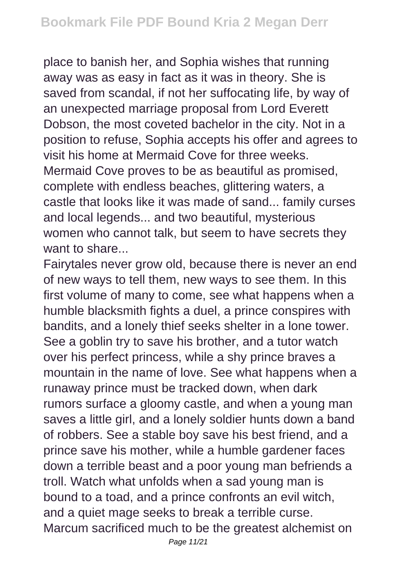place to banish her, and Sophia wishes that running away was as easy in fact as it was in theory. She is saved from scandal, if not her suffocating life, by way of an unexpected marriage proposal from Lord Everett Dobson, the most coveted bachelor in the city. Not in a position to refuse, Sophia accepts his offer and agrees to visit his home at Mermaid Cove for three weeks. Mermaid Cove proves to be as beautiful as promised, complete with endless beaches, glittering waters, a castle that looks like it was made of sand... family curses and local legends... and two beautiful, mysterious women who cannot talk, but seem to have secrets they want to share...

Fairytales never grow old, because there is never an end of new ways to tell them, new ways to see them. In this first volume of many to come, see what happens when a humble blacksmith fights a duel, a prince conspires with bandits, and a lonely thief seeks shelter in a lone tower. See a goblin try to save his brother, and a tutor watch over his perfect princess, while a shy prince braves a mountain in the name of love. See what happens when a runaway prince must be tracked down, when dark rumors surface a gloomy castle, and when a young man saves a little girl, and a lonely soldier hunts down a band of robbers. See a stable boy save his best friend, and a prince save his mother, while a humble gardener faces down a terrible beast and a poor young man befriends a troll. Watch what unfolds when a sad young man is bound to a toad, and a prince confronts an evil witch, and a quiet mage seeks to break a terrible curse. Marcum sacrificed much to be the greatest alchemist on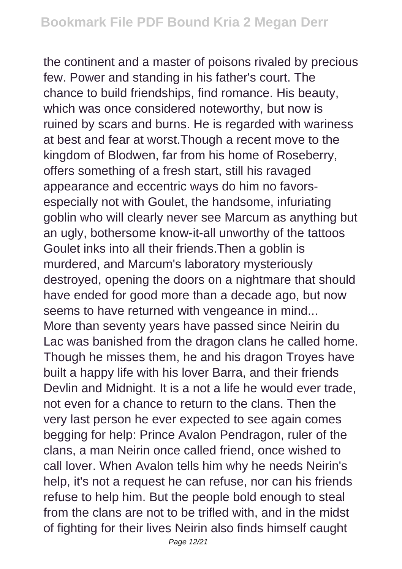the continent and a master of poisons rivaled by precious few. Power and standing in his father's court. The chance to build friendships, find romance. His beauty, which was once considered noteworthy, but now is ruined by scars and burns. He is regarded with wariness at best and fear at worst.Though a recent move to the kingdom of Blodwen, far from his home of Roseberry, offers something of a fresh start, still his ravaged appearance and eccentric ways do him no favorsespecially not with Goulet, the handsome, infuriating goblin who will clearly never see Marcum as anything but an ugly, bothersome know-it-all unworthy of the tattoos Goulet inks into all their friends.Then a goblin is murdered, and Marcum's laboratory mysteriously destroyed, opening the doors on a nightmare that should have ended for good more than a decade ago, but now seems to have returned with vengeance in mind... More than seventy years have passed since Neirin du Lac was banished from the dragon clans he called home. Though he misses them, he and his dragon Troyes have built a happy life with his lover Barra, and their friends Devlin and Midnight. It is a not a life he would ever trade, not even for a chance to return to the clans. Then the very last person he ever expected to see again comes begging for help: Prince Avalon Pendragon, ruler of the clans, a man Neirin once called friend, once wished to call lover. When Avalon tells him why he needs Neirin's help, it's not a request he can refuse, nor can his friends refuse to help him. But the people bold enough to steal from the clans are not to be trifled with, and in the midst of fighting for their lives Neirin also finds himself caught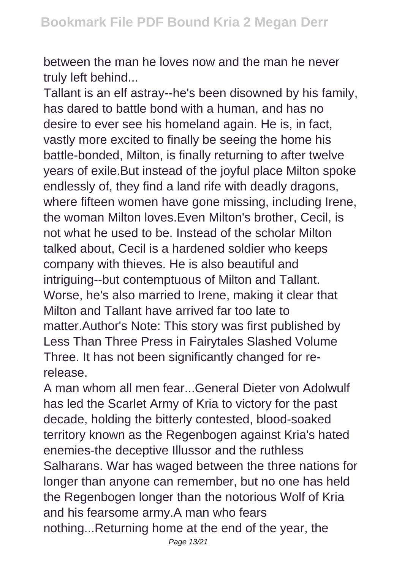between the man he loves now and the man he never truly left behind...

Tallant is an elf astray--he's been disowned by his family, has dared to battle bond with a human, and has no desire to ever see his homeland again. He is, in fact, vastly more excited to finally be seeing the home his battle-bonded, Milton, is finally returning to after twelve years of exile.But instead of the joyful place Milton spoke endlessly of, they find a land rife with deadly dragons, where fifteen women have gone missing, including Irene, the woman Milton loves.Even Milton's brother, Cecil, is not what he used to be. Instead of the scholar Milton talked about, Cecil is a hardened soldier who keeps company with thieves. He is also beautiful and intriguing--but contemptuous of Milton and Tallant. Worse, he's also married to Irene, making it clear that Milton and Tallant have arrived far too late to matter.Author's Note: This story was first published by Less Than Three Press in Fairytales Slashed Volume Three. It has not been significantly changed for rerelease.

A man whom all men fear...General Dieter von Adolwulf has led the Scarlet Army of Kria to victory for the past decade, holding the bitterly contested, blood-soaked territory known as the Regenbogen against Kria's hated enemies-the deceptive Illussor and the ruthless Salharans. War has waged between the three nations for longer than anyone can remember, but no one has held the Regenbogen longer than the notorious Wolf of Kria and his fearsome army.A man who fears nothing...Returning home at the end of the year, the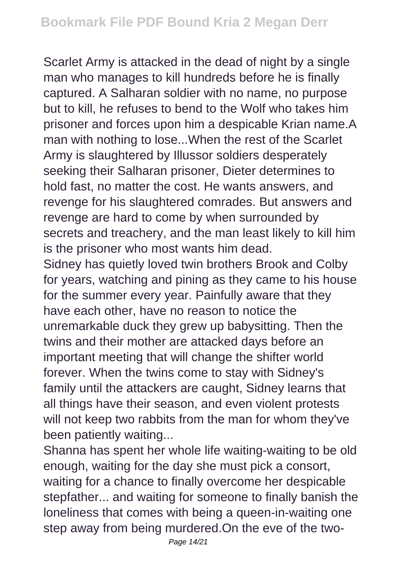Scarlet Army is attacked in the dead of night by a single man who manages to kill hundreds before he is finally captured. A Salharan soldier with no name, no purpose but to kill, he refuses to bend to the Wolf who takes him prisoner and forces upon him a despicable Krian name.A man with nothing to lose...When the rest of the Scarlet Army is slaughtered by Illussor soldiers desperately seeking their Salharan prisoner, Dieter determines to hold fast, no matter the cost. He wants answers, and revenge for his slaughtered comrades. But answers and revenge are hard to come by when surrounded by secrets and treachery, and the man least likely to kill him is the prisoner who most wants him dead.

Sidney has quietly loved twin brothers Brook and Colby for years, watching and pining as they came to his house for the summer every year. Painfully aware that they have each other, have no reason to notice the unremarkable duck they grew up babysitting. Then the twins and their mother are attacked days before an important meeting that will change the shifter world forever. When the twins come to stay with Sidney's family until the attackers are caught, Sidney learns that all things have their season, and even violent protests will not keep two rabbits from the man for whom they've been patiently waiting...

Shanna has spent her whole life waiting-waiting to be old enough, waiting for the day she must pick a consort, waiting for a chance to finally overcome her despicable stepfather... and waiting for someone to finally banish the loneliness that comes with being a queen-in-waiting one step away from being murdered.On the eve of the two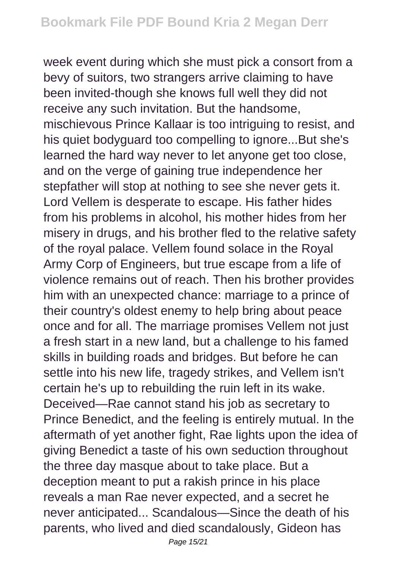week event during which she must pick a consort from a bevy of suitors, two strangers arrive claiming to have been invited-though she knows full well they did not receive any such invitation. But the handsome, mischievous Prince Kallaar is too intriguing to resist, and his quiet bodyguard too compelling to ignore...But she's learned the hard way never to let anyone get too close, and on the verge of gaining true independence her stepfather will stop at nothing to see she never gets it. Lord Vellem is desperate to escape. His father hides from his problems in alcohol, his mother hides from her misery in drugs, and his brother fled to the relative safety of the royal palace. Vellem found solace in the Royal Army Corp of Engineers, but true escape from a life of violence remains out of reach. Then his brother provides him with an unexpected chance: marriage to a prince of their country's oldest enemy to help bring about peace once and for all. The marriage promises Vellem not just a fresh start in a new land, but a challenge to his famed skills in building roads and bridges. But before he can settle into his new life, tragedy strikes, and Vellem isn't certain he's up to rebuilding the ruin left in its wake. Deceived—Rae cannot stand his job as secretary to Prince Benedict, and the feeling is entirely mutual. In the aftermath of yet another fight, Rae lights upon the idea of giving Benedict a taste of his own seduction throughout the three day masque about to take place. But a deception meant to put a rakish prince in his place reveals a man Rae never expected, and a secret he never anticipated... Scandalous—Since the death of his parents, who lived and died scandalously, Gideon has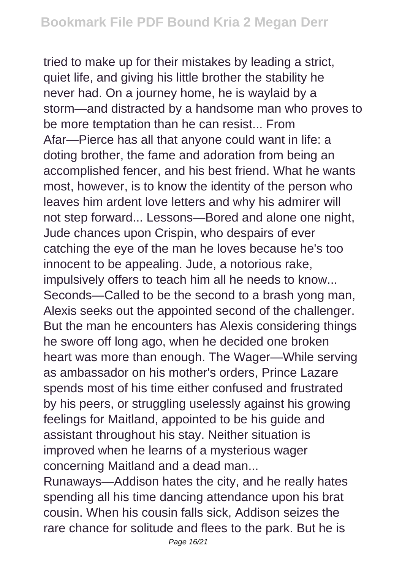tried to make up for their mistakes by leading a strict, quiet life, and giving his little brother the stability he never had. On a journey home, he is waylaid by a storm—and distracted by a handsome man who proves to be more temptation than he can resist... From Afar—Pierce has all that anyone could want in life: a doting brother, the fame and adoration from being an accomplished fencer, and his best friend. What he wants most, however, is to know the identity of the person who leaves him ardent love letters and why his admirer will not step forward... Lessons—Bored and alone one night, Jude chances upon Crispin, who despairs of ever catching the eye of the man he loves because he's too innocent to be appealing. Jude, a notorious rake, impulsively offers to teach him all he needs to know... Seconds—Called to be the second to a brash yong man, Alexis seeks out the appointed second of the challenger. But the man he encounters has Alexis considering things he swore off long ago, when he decided one broken heart was more than enough. The Wager—While serving as ambassador on his mother's orders, Prince Lazare spends most of his time either confused and frustrated by his peers, or struggling uselessly against his growing feelings for Maitland, appointed to be his guide and assistant throughout his stay. Neither situation is improved when he learns of a mysterious wager concerning Maitland and a dead man...

Runaways—Addison hates the city, and he really hates spending all his time dancing attendance upon his brat cousin. When his cousin falls sick, Addison seizes the rare chance for solitude and flees to the park. But he is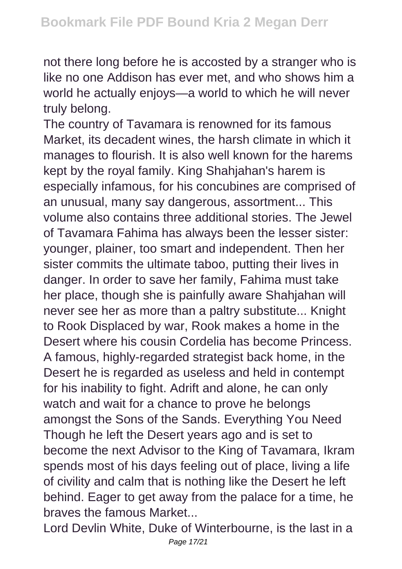not there long before he is accosted by a stranger who is like no one Addison has ever met, and who shows him a world he actually enjoys—a world to which he will never truly belong.

The country of Tavamara is renowned for its famous Market, its decadent wines, the harsh climate in which it manages to flourish. It is also well known for the harems kept by the royal family. King Shahjahan's harem is especially infamous, for his concubines are comprised of an unusual, many say dangerous, assortment... This volume also contains three additional stories. The Jewel of Tavamara Fahima has always been the lesser sister: younger, plainer, too smart and independent. Then her sister commits the ultimate taboo, putting their lives in danger. In order to save her family, Fahima must take her place, though she is painfully aware Shahjahan will never see her as more than a paltry substitute... Knight to Rook Displaced by war, Rook makes a home in the Desert where his cousin Cordelia has become Princess. A famous, highly-regarded strategist back home, in the Desert he is regarded as useless and held in contempt for his inability to fight. Adrift and alone, he can only watch and wait for a chance to prove he belongs amongst the Sons of the Sands. Everything You Need Though he left the Desert years ago and is set to become the next Advisor to the King of Tavamara, Ikram spends most of his days feeling out of place, living a life of civility and calm that is nothing like the Desert he left behind. Eager to get away from the palace for a time, he braves the famous Market...

Lord Devlin White, Duke of Winterbourne, is the last in a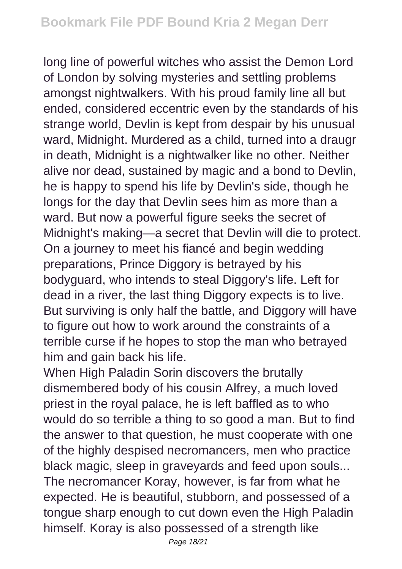long line of powerful witches who assist the Demon Lord of London by solving mysteries and settling problems amongst nightwalkers. With his proud family line all but ended, considered eccentric even by the standards of his strange world, Devlin is kept from despair by his unusual ward, Midnight. Murdered as a child, turned into a draugr in death, Midnight is a nightwalker like no other. Neither alive nor dead, sustained by magic and a bond to Devlin, he is happy to spend his life by Devlin's side, though he longs for the day that Devlin sees him as more than a ward. But now a powerful figure seeks the secret of Midnight's making—a secret that Devlin will die to protect. On a journey to meet his fiancé and begin wedding preparations, Prince Diggory is betrayed by his bodyguard, who intends to steal Diggory's life. Left for dead in a river, the last thing Diggory expects is to live. But surviving is only half the battle, and Diggory will have to figure out how to work around the constraints of a terrible curse if he hopes to stop the man who betrayed him and gain back his life.

When High Paladin Sorin discovers the brutally dismembered body of his cousin Alfrey, a much loved priest in the royal palace, he is left baffled as to who would do so terrible a thing to so good a man. But to find the answer to that question, he must cooperate with one of the highly despised necromancers, men who practice black magic, sleep in graveyards and feed upon souls... The necromancer Koray, however, is far from what he expected. He is beautiful, stubborn, and possessed of a tongue sharp enough to cut down even the High Paladin himself. Koray is also possessed of a strength like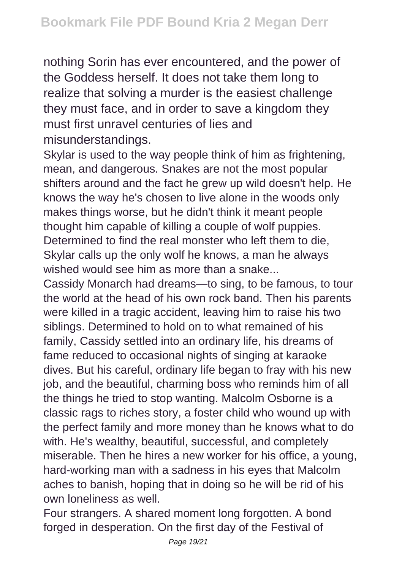nothing Sorin has ever encountered, and the power of the Goddess herself. It does not take them long to realize that solving a murder is the easiest challenge they must face, and in order to save a kingdom they must first unravel centuries of lies and misunderstandings.

Skylar is used to the way people think of him as frightening. mean, and dangerous. Snakes are not the most popular shifters around and the fact he grew up wild doesn't help. He knows the way he's chosen to live alone in the woods only makes things worse, but he didn't think it meant people thought him capable of killing a couple of wolf puppies. Determined to find the real monster who left them to die, Skylar calls up the only wolf he knows, a man he always wished would see him as more than a snake.

Cassidy Monarch had dreams—to sing, to be famous, to tour the world at the head of his own rock band. Then his parents were killed in a tragic accident, leaving him to raise his two siblings. Determined to hold on to what remained of his family, Cassidy settled into an ordinary life, his dreams of fame reduced to occasional nights of singing at karaoke dives. But his careful, ordinary life began to fray with his new job, and the beautiful, charming boss who reminds him of all the things he tried to stop wanting. Malcolm Osborne is a classic rags to riches story, a foster child who wound up with the perfect family and more money than he knows what to do with. He's wealthy, beautiful, successful, and completely miserable. Then he hires a new worker for his office, a young, hard-working man with a sadness in his eyes that Malcolm aches to banish, hoping that in doing so he will be rid of his own loneliness as well.

Four strangers. A shared moment long forgotten. A bond forged in desperation. On the first day of the Festival of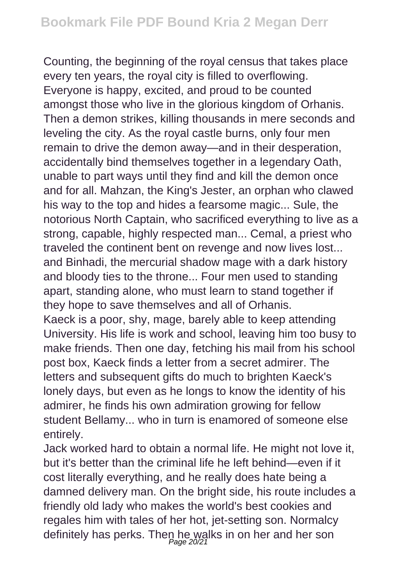Counting, the beginning of the royal census that takes place every ten years, the royal city is filled to overflowing. Everyone is happy, excited, and proud to be counted amongst those who live in the glorious kingdom of Orhanis. Then a demon strikes, killing thousands in mere seconds and leveling the city. As the royal castle burns, only four men remain to drive the demon away—and in their desperation, accidentally bind themselves together in a legendary Oath, unable to part ways until they find and kill the demon once and for all. Mahzan, the King's Jester, an orphan who clawed his way to the top and hides a fearsome magic... Sule, the notorious North Captain, who sacrificed everything to live as a strong, capable, highly respected man... Cemal, a priest who traveled the continent bent on revenge and now lives lost... and Binhadi, the mercurial shadow mage with a dark history and bloody ties to the throne... Four men used to standing apart, standing alone, who must learn to stand together if they hope to save themselves and all of Orhanis. Kaeck is a poor, shy, mage, barely able to keep attending University. His life is work and school, leaving him too busy to make friends. Then one day, fetching his mail from his school post box, Kaeck finds a letter from a secret admirer. The letters and subsequent gifts do much to brighten Kaeck's lonely days, but even as he longs to know the identity of his admirer, he finds his own admiration growing for fellow student Bellamy... who in turn is enamored of someone else

entirely.

Jack worked hard to obtain a normal life. He might not love it, but it's better than the criminal life he left behind—even if it cost literally everything, and he really does hate being a damned delivery man. On the bright side, his route includes a friendly old lady who makes the world's best cookies and regales him with tales of her hot, jet-setting son. Normalcy definitely has perks. Then he walks in on her and her son<br>Page 20/21